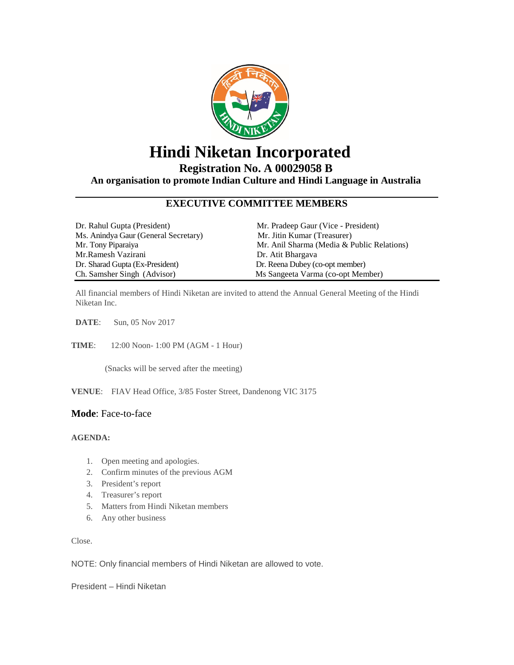

## **Hindi Niketan Incorporated**

**Registration No. A 00029058 B**

**An organisation to promote Indian Culture and Hindi Language in Australia**

#### **EXECUTIVE COMMITTEE MEMBERS**

| Dr. Rahul Gupta (President)          | Mr. Pradeep Gaur (Vice - President)        |
|--------------------------------------|--------------------------------------------|
| Ms. Anindya Gaur (General Secretary) | Mr. Jitin Kumar (Treasurer)                |
| Mr. Tony Piparaiya                   | Mr. Anil Sharma (Media & Public Relations) |
| Mr.Ramesh Vazirani                   | Dr. Atit Bhargaya                          |
| Dr. Sharad Gupta (Ex-President)      | Dr. Reena Dubey (co-opt member)            |
| Ch. Samsher Singh (Advisor)          | Ms Sangeeta Varma (co-opt Member)          |

All financial members of Hindi Niketan are invited to attend the Annual General Meeting of the Hindi Niketan Inc.

**DATE**: Sun, 05 Nov 2017

**TIME**: 12:00 Noon- 1:00 PM (AGM - 1 Hour)

(Snacks will be served after the meeting)

**VENUE**: FIAV Head Office, 3/85 Foster Street, Dandenong VIC 3175

#### **Mode**: Face-to-face

#### **AGENDA:**

- 1. Open meeting and apologies.
- 2. Confirm minutes of the previous AGM
- 3. President's report
- 4. Treasurer's report
- 5. Matters from Hindi Niketan members
- 6. Any other business

Close.

NOTE: Only financial members of Hindi Niketan are allowed to vote.

President – Hindi Niketan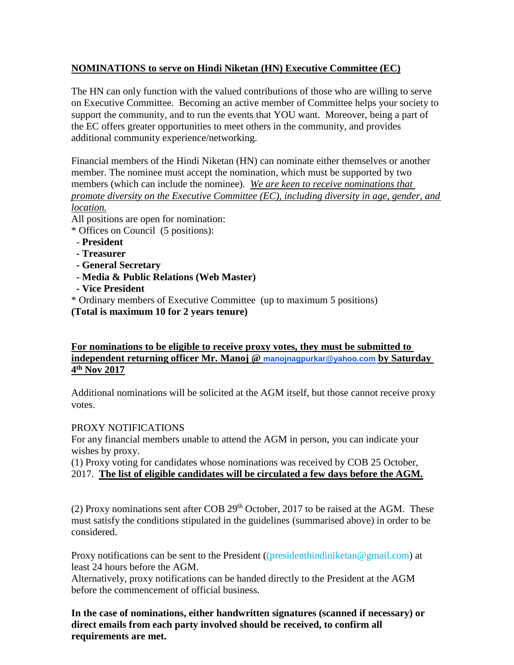### **NOMINATIONS to serve on Hindi Niketan (HN) Executive Committee (EC)**

The HN can only function with the valued contributions of those who are willing to serve on Executive Committee. Becoming an active member of Committee helps your society to support the community, and to run the events that YOU want. Moreover, being a part of the EC offers greater opportunities to meet others in the community, and provides additional community experience/networking.

Financial members of the Hindi Niketan (HN) can nominate either themselves or another member. The nominee must accept the nomination, which must be supported by two members (which can include the nominee). *We are keen to receive nominations that promote diversity on the Executive Committee (EC), including diversity in age, gender, and location.*

All positions are open for nomination:

- \* Offices on Council (5 positions):
- **President**
- **- Treasurer**
- **- General Secretary**
- **- Media & Public Relations (Web Master)**
- **- Vice President**

\* Ordinary members of Executive Committee (up to maximum 5 positions) **(Total is maximum 10 for 2 years tenure)**

#### **For nominations to be eligible to receive proxy votes, they must be submitted to independent returning officer Mr. Manoj @ [manojnagpurkar@yahoo.com](mailto:manojnagpurkar@yahoo.com) by Saturday 4th Nov 2017**

Additional nominations will be solicited at the AGM itself, but those cannot receive proxy votes.

#### PROXY NOTIFICATIONS

For any financial members unable to attend the AGM in person, you can indicate your wishes by proxy.

(1) Proxy voting for candidates whose nominations was received by COB 25 October, 2017. **The list of eligible candidates will be circulated a few days before the AGM.**

(2) Proxy nominations sent after COB  $29<sup>th</sup>$  October, 2017 to be raised at the AGM. These must satisfy the conditions stipulated in the guidelines (summarised above) in order to be considered.

Proxy notifications can be sent to the President ((presidenthindiniketan@gmail.com) at least 24 hours before the AGM.

Alternatively, proxy notifications can be handed directly to the President at the AGM before the commencement of official business.

**In the case of nominations, either handwritten signatures (scanned if necessary) or direct emails from each party involved should be received, to confirm all requirements are met.**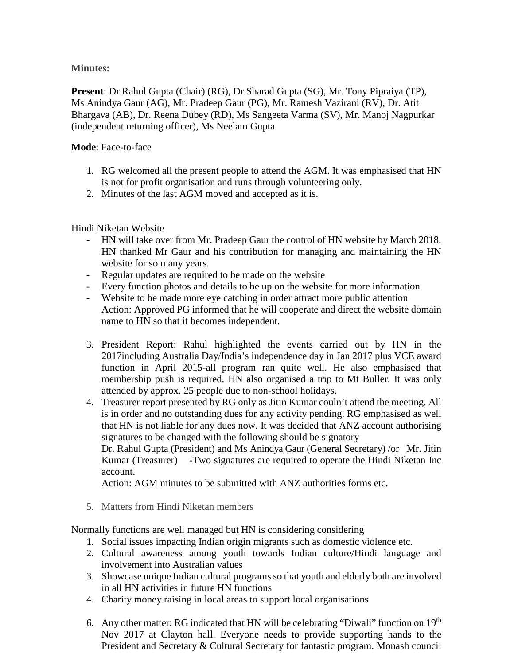**Minutes:**

**Present**: Dr Rahul Gupta (Chair) (RG), Dr Sharad Gupta (SG), Mr. Tony Pipraiya (TP), Ms Anindya Gaur (AG), Mr. Pradeep Gaur (PG), Mr. Ramesh Vazirani (RV), Dr. Atit Bhargava (AB), Dr. Reena Dubey (RD), Ms Sangeeta Varma (SV), Mr. Manoj Nagpurkar (independent returning officer), Ms Neelam Gupta

#### **Mode**: Face-to-face

- 1. RG welcomed all the present people to attend the AGM. It was emphasised that HN is not for profit organisation and runs through volunteering only.
- 2. Minutes of the last AGM moved and accepted as it is.

### Hindi Niketan Website

- HN will take over from Mr. Pradeep Gaur the control of HN website by March 2018. HN thanked Mr Gaur and his contribution for managing and maintaining the HN website for so many years.
- Regular updates are required to be made on the website
- Every function photos and details to be up on the website for more information
- Website to be made more eye catching in order attract more public attention Action: Approved PG informed that he will cooperate and direct the website domain name to HN so that it becomes independent.
- 3. President Report: Rahul highlighted the events carried out by HN in the 2017including Australia Day/India's independence day in Jan 2017 plus VCE award function in April 2015-all program ran quite well. He also emphasised that membership push is required. HN also organised a trip to Mt Buller. It was only attended by approx. 25 people due to non-school holidays.
- 4. Treasurer report presented by RG only as Jitin Kumar couln't attend the meeting. All is in order and no outstanding dues for any activity pending. RG emphasised as well that HN is not liable for any dues now. It was decided that ANZ account authorising signatures to be changed with the following should be signatory

Dr. Rahul Gupta (President) and Ms Anindya Gaur (General Secretary) /or Mr. Jitin Kumar (Treasurer) -Two signatures are required to operate the Hindi Niketan Inc account.

Action: AGM minutes to be submitted with ANZ authorities forms etc.

5. Matters from Hindi Niketan members

Normally functions are well managed but HN is considering considering

- 1. Social issues impacting Indian origin migrants such as domestic violence etc.
- 2. Cultural awareness among youth towards Indian culture/Hindi language and involvement into Australian values
- 3. Showcase unique Indian cultural programs so that youth and elderly both are involved in all HN activities in future HN functions
- 4. Charity money raising in local areas to support local organisations
- 6. Any other matter: RG indicated that HN will be celebrating "Diwali" function on  $19<sup>th</sup>$ Nov 2017 at Clayton hall. Everyone needs to provide supporting hands to the President and Secretary & Cultural Secretary for fantastic program. Monash council